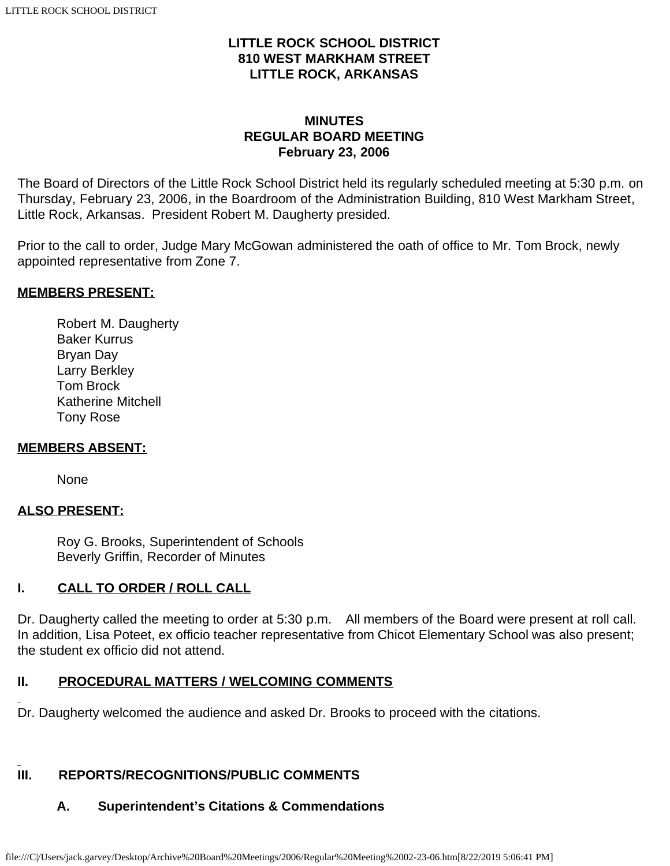### **LITTLE ROCK SCHOOL DISTRICT 810 WEST MARKHAM STREET LITTLE ROCK, ARKANSAS**

### **MINUTES REGULAR BOARD MEETING February 23, 2006**

The Board of Directors of the Little Rock School District held its regularly scheduled meeting at 5:30 p.m. on Thursday, February 23, 2006, in the Boardroom of the Administration Building, 810 West Markham Street, Little Rock, Arkansas. President Robert M. Daugherty presided.

Prior to the call to order, Judge Mary McGowan administered the oath of office to Mr. Tom Brock, newly appointed representative from Zone 7.

#### **MEMBERS PRESENT:**

Robert M. Daugherty Baker Kurrus Bryan Day Larry Berkley Tom Brock Katherine Mitchell Tony Rose

#### **MEMBERS ABSENT:**

None

### **ALSO PRESENT:**

 Roy G. Brooks, Superintendent of Schools Beverly Griffin, Recorder of Minutes

### **I. CALL TO ORDER / ROLL CALL**

Dr. Daugherty called the meeting to order at 5:30 p.m. All members of the Board were present at roll call. In addition, Lisa Poteet, ex officio teacher representative from Chicot Elementary School was also present; the student ex officio did not attend.

#### **II. PROCEDURAL MATTERS / WELCOMING COMMENTS**

Dr. Daugherty welcomed the audience and asked Dr. Brooks to proceed with the citations.

### **III. REPORTS/RECOGNITIONS/PUBLIC COMMENTS**

### **A. Superintendent's Citations & Commendations**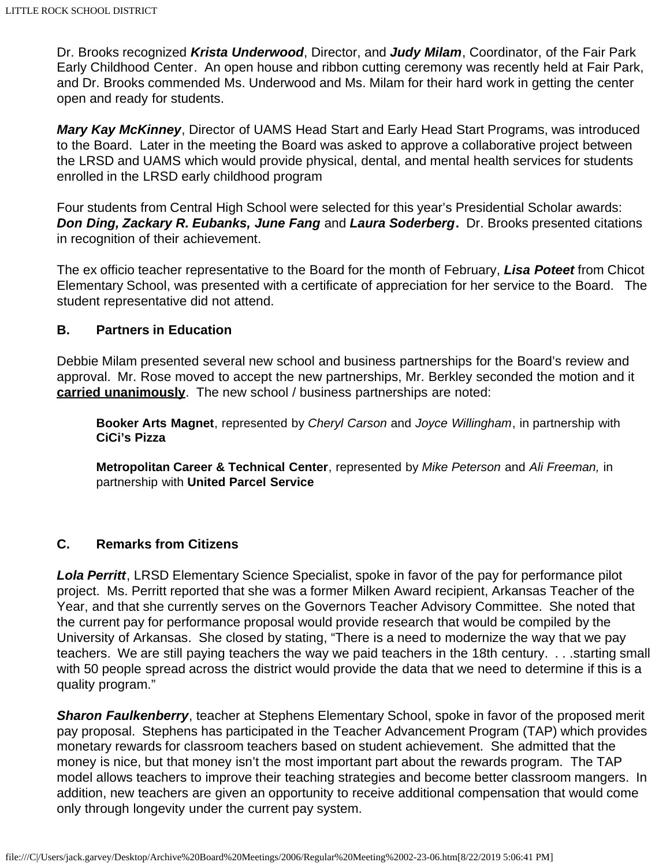Dr. Brooks recognized *Krista Underwood*, Director, and *Judy Milam*, Coordinator, of the Fair Park Early Childhood Center. An open house and ribbon cutting ceremony was recently held at Fair Park, and Dr. Brooks commended Ms. Underwood and Ms. Milam for their hard work in getting the center open and ready for students.

*Mary Kay McKinney*, Director of UAMS Head Start and Early Head Start Programs, was introduced to the Board. Later in the meeting the Board was asked to approve a collaborative project between the LRSD and UAMS which would provide physical, dental, and mental health services for students enrolled in the LRSD early childhood program

Four students from Central High School were selected for this year's Presidential Scholar awards: *Don Ding, Zackary R. Eubanks, June Fang* and *Laura Soderberg***.** Dr. Brooks presented citations in recognition of their achievement.

The ex officio teacher representative to the Board for the month of February, *Lisa Poteet* from Chicot Elementary School, was presented with a certificate of appreciation for her service to the Board. The student representative did not attend.

#### **B. Partners in Education**

Debbie Milam presented several new school and business partnerships for the Board's review and approval. Mr. Rose moved to accept the new partnerships, Mr. Berkley seconded the motion and it **carried unanimously**. The new school / business partnerships are noted:

**Booker Arts Magnet**, represented by *Cheryl Carson* and *Joyce Willingham*, in partnership with **CiCi's Pizza**

**Metropolitan Career & Technical Center**, represented by *Mike Peterson* and *Ali Freeman,* in partnership with **United Parcel Service**

#### **C. Remarks from Citizens**

*Lola Perritt*, LRSD Elementary Science Specialist, spoke in favor of the pay for performance pilot project. Ms. Perritt reported that she was a former Milken Award recipient, Arkansas Teacher of the Year, and that she currently serves on the Governors Teacher Advisory Committee. She noted that the current pay for performance proposal would provide research that would be compiled by the University of Arkansas. She closed by stating, "There is a need to modernize the way that we pay teachers. We are still paying teachers the way we paid teachers in the 18th century. . . .starting small with 50 people spread across the district would provide the data that we need to determine if this is a quality program."

**Sharon Faulkenberry**, teacher at Stephens Elementary School, spoke in favor of the proposed merit pay proposal. Stephens has participated in the Teacher Advancement Program (TAP) which provides monetary rewards for classroom teachers based on student achievement. She admitted that the money is nice, but that money isn't the most important part about the rewards program. The TAP model allows teachers to improve their teaching strategies and become better classroom mangers. In addition, new teachers are given an opportunity to receive additional compensation that would come only through longevity under the current pay system.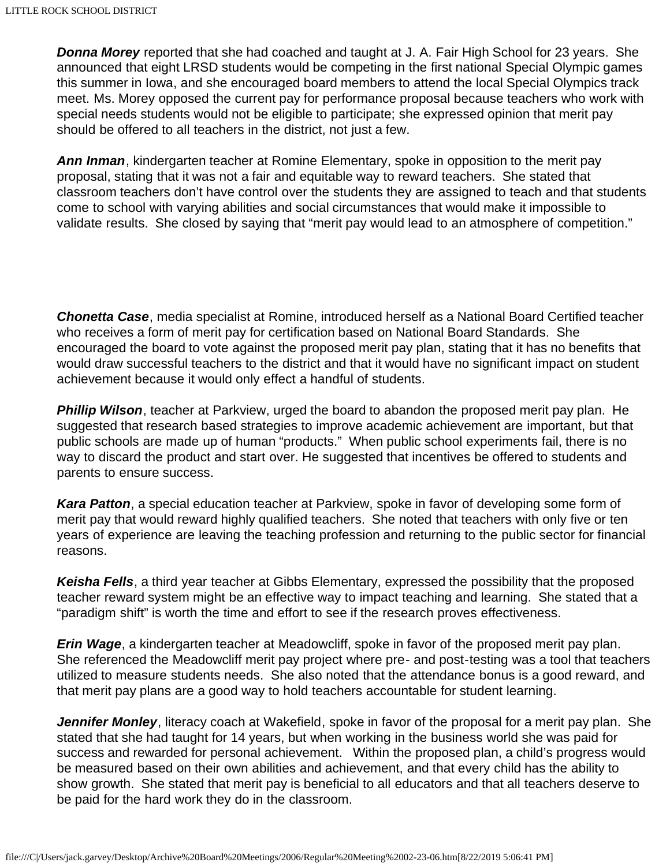*Donna Morey* reported that she had coached and taught at J. A. Fair High School for 23 years. She announced that eight LRSD students would be competing in the first national Special Olympic games this summer in Iowa, and she encouraged board members to attend the local Special Olympics track meet. Ms. Morey opposed the current pay for performance proposal because teachers who work with special needs students would not be eligible to participate; she expressed opinion that merit pay should be offered to all teachers in the district, not just a few.

*Ann Inman*, kindergarten teacher at Romine Elementary, spoke in opposition to the merit pay proposal, stating that it was not a fair and equitable way to reward teachers. She stated that classroom teachers don't have control over the students they are assigned to teach and that students come to school with varying abilities and social circumstances that would make it impossible to validate results. She closed by saying that "merit pay would lead to an atmosphere of competition."

*Chonetta Case*, media specialist at Romine, introduced herself as a National Board Certified teacher who receives a form of merit pay for certification based on National Board Standards. She encouraged the board to vote against the proposed merit pay plan, stating that it has no benefits that would draw successful teachers to the district and that it would have no significant impact on student achievement because it would only effect a handful of students.

*Phillip Wilson*, teacher at Parkview, urged the board to abandon the proposed merit pay plan. He suggested that research based strategies to improve academic achievement are important, but that public schools are made up of human "products." When public school experiments fail, there is no way to discard the product and start over. He suggested that incentives be offered to students and parents to ensure success.

*Kara Patton*, a special education teacher at Parkview, spoke in favor of developing some form of merit pay that would reward highly qualified teachers. She noted that teachers with only five or ten years of experience are leaving the teaching profession and returning to the public sector for financial reasons.

*Keisha Fells*, a third year teacher at Gibbs Elementary, expressed the possibility that the proposed teacher reward system might be an effective way to impact teaching and learning. She stated that a "paradigm shift" is worth the time and effort to see if the research proves effectiveness.

*Erin Wage*, a kindergarten teacher at Meadowcliff, spoke in favor of the proposed merit pay plan. She referenced the Meadowcliff merit pay project where pre- and post-testing was a tool that teachers utilized to measure students needs. She also noted that the attendance bonus is a good reward, and that merit pay plans are a good way to hold teachers accountable for student learning.

*Jennifer Monley*, literacy coach at Wakefield, spoke in favor of the proposal for a merit pay plan. She stated that she had taught for 14 years, but when working in the business world she was paid for success and rewarded for personal achievement. Within the proposed plan, a child's progress would be measured based on their own abilities and achievement, and that every child has the ability to show growth. She stated that merit pay is beneficial to all educators and that all teachers deserve to be paid for the hard work they do in the classroom.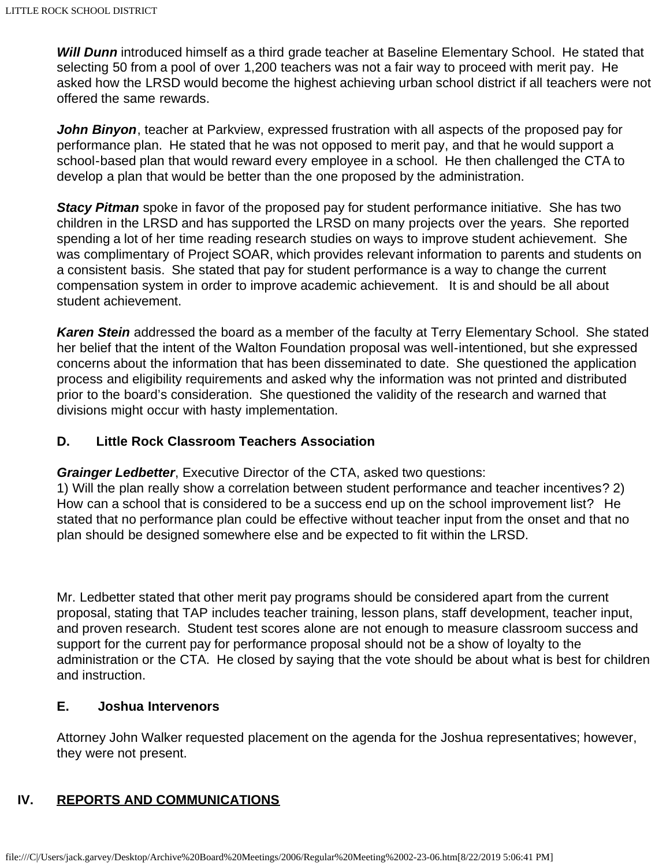*Will Dunn* introduced himself as a third grade teacher at Baseline Elementary School. He stated that selecting 50 from a pool of over 1,200 teachers was not a fair way to proceed with merit pay. He asked how the LRSD would become the highest achieving urban school district if all teachers were not offered the same rewards.

*John Binyon*, teacher at Parkview, expressed frustration with all aspects of the proposed pay for performance plan. He stated that he was not opposed to merit pay, and that he would support a school-based plan that would reward every employee in a school. He then challenged the CTA to develop a plan that would be better than the one proposed by the administration.

**Stacy Pitman** spoke in favor of the proposed pay for student performance initiative. She has two children in the LRSD and has supported the LRSD on many projects over the years. She reported spending a lot of her time reading research studies on ways to improve student achievement. She was complimentary of Project SOAR, which provides relevant information to parents and students on a consistent basis. She stated that pay for student performance is a way to change the current compensation system in order to improve academic achievement. It is and should be all about student achievement.

*Karen Stein* addressed the board as a member of the faculty at Terry Elementary School. She stated her belief that the intent of the Walton Foundation proposal was well-intentioned, but she expressed concerns about the information that has been disseminated to date. She questioned the application process and eligibility requirements and asked why the information was not printed and distributed prior to the board's consideration. She questioned the validity of the research and warned that divisions might occur with hasty implementation.

### **D. Little Rock Classroom Teachers Association**

*Grainger Ledbetter*, Executive Director of the CTA, asked two questions:

1) Will the plan really show a correlation between student performance and teacher incentives? 2) How can a school that is considered to be a success end up on the school improvement list? He stated that no performance plan could be effective without teacher input from the onset and that no plan should be designed somewhere else and be expected to fit within the LRSD.

Mr. Ledbetter stated that other merit pay programs should be considered apart from the current proposal, stating that TAP includes teacher training, lesson plans, staff development, teacher input, and proven research. Student test scores alone are not enough to measure classroom success and support for the current pay for performance proposal should not be a show of loyalty to the administration or the CTA. He closed by saying that the vote should be about what is best for children and instruction.

#### **E. Joshua Intervenors**

Attorney John Walker requested placement on the agenda for the Joshua representatives; however, they were not present.

### **IV. REPORTS AND COMMUNICATIONS**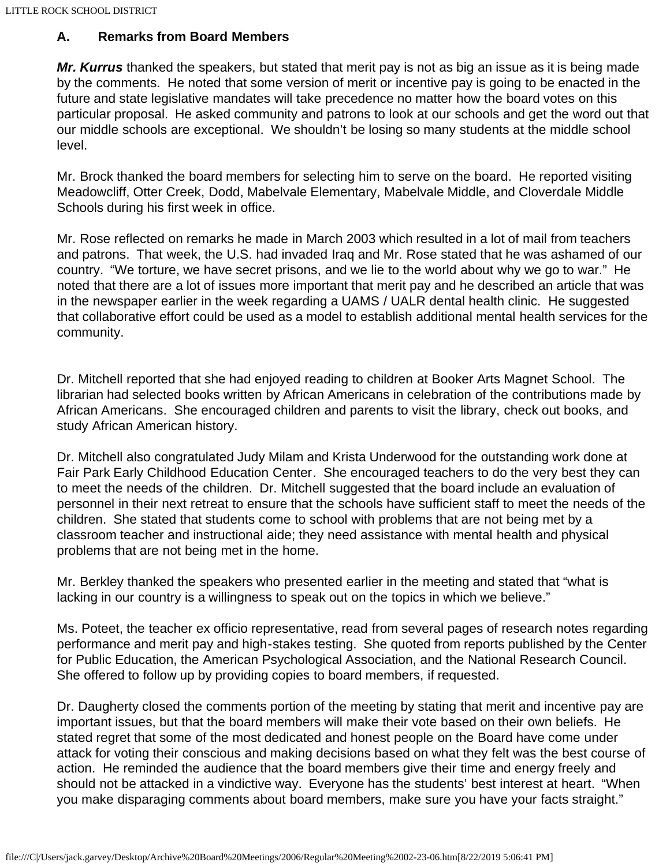### **A. Remarks from Board Members**

*Mr. Kurrus* thanked the speakers, but stated that merit pay is not as big an issue as it is being made by the comments. He noted that some version of merit or incentive pay is going to be enacted in the future and state legislative mandates will take precedence no matter how the board votes on this particular proposal. He asked community and patrons to look at our schools and get the word out that our middle schools are exceptional. We shouldn't be losing so many students at the middle school level.

Mr. Brock thanked the board members for selecting him to serve on the board. He reported visiting Meadowcliff, Otter Creek, Dodd, Mabelvale Elementary, Mabelvale Middle, and Cloverdale Middle Schools during his first week in office.

Mr. Rose reflected on remarks he made in March 2003 which resulted in a lot of mail from teachers and patrons. That week, the U.S. had invaded Iraq and Mr. Rose stated that he was ashamed of our country. "We torture, we have secret prisons, and we lie to the world about why we go to war." He noted that there are a lot of issues more important that merit pay and he described an article that was in the newspaper earlier in the week regarding a UAMS / UALR dental health clinic. He suggested that collaborative effort could be used as a model to establish additional mental health services for the community.

Dr. Mitchell reported that she had enjoyed reading to children at Booker Arts Magnet School. The librarian had selected books written by African Americans in celebration of the contributions made by African Americans. She encouraged children and parents to visit the library, check out books, and study African American history.

Dr. Mitchell also congratulated Judy Milam and Krista Underwood for the outstanding work done at Fair Park Early Childhood Education Center. She encouraged teachers to do the very best they can to meet the needs of the children. Dr. Mitchell suggested that the board include an evaluation of personnel in their next retreat to ensure that the schools have sufficient staff to meet the needs of the children. She stated that students come to school with problems that are not being met by a classroom teacher and instructional aide; they need assistance with mental health and physical problems that are not being met in the home.

Mr. Berkley thanked the speakers who presented earlier in the meeting and stated that "what is lacking in our country is a willingness to speak out on the topics in which we believe."

Ms. Poteet, the teacher ex officio representative, read from several pages of research notes regarding performance and merit pay and high-stakes testing. She quoted from reports published by the Center for Public Education, the American Psychological Association, and the National Research Council. She offered to follow up by providing copies to board members, if requested.

Dr. Daugherty closed the comments portion of the meeting by stating that merit and incentive pay are important issues, but that the board members will make their vote based on their own beliefs. He stated regret that some of the most dedicated and honest people on the Board have come under attack for voting their conscious and making decisions based on what they felt was the best course of action. He reminded the audience that the board members give their time and energy freely and should not be attacked in a vindictive way. Everyone has the students' best interest at heart. "When you make disparaging comments about board members, make sure you have your facts straight."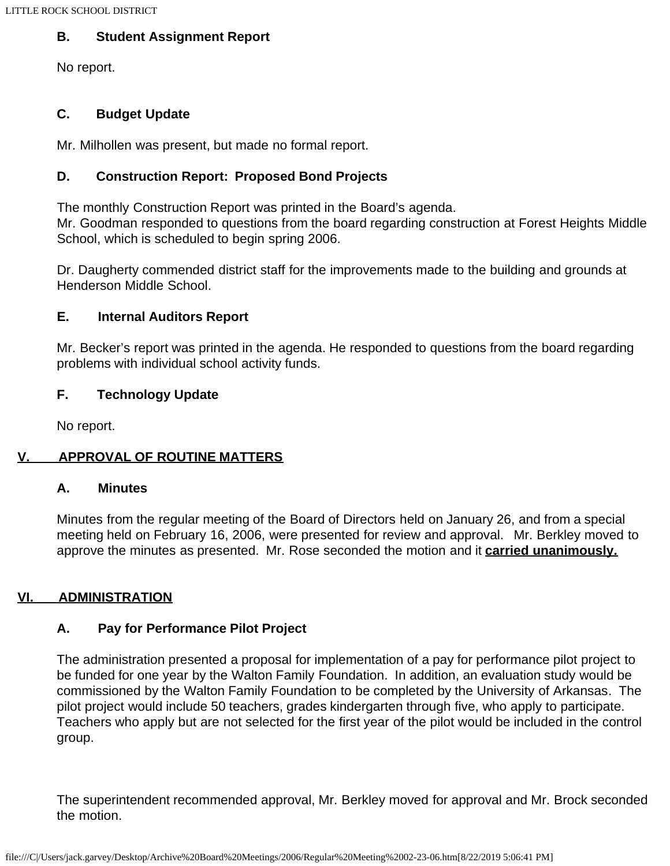### **B. Student Assignment Report**

No report.

### **C. Budget Update**

Mr. Milhollen was present, but made no formal report.

### **D. Construction Report: Proposed Bond Projects**

The monthly Construction Report was printed in the Board's agenda.

Mr. Goodman responded to questions from the board regarding construction at Forest Heights Middle School, which is scheduled to begin spring 2006.

Dr. Daugherty commended district staff for the improvements made to the building and grounds at Henderson Middle School.

### **E. Internal Auditors Report**

Mr. Becker's report was printed in the agenda. He responded to questions from the board regarding problems with individual school activity funds.

### **F. Technology Update**

No report.

# **V. APPROVAL OF ROUTINE MATTERS**

#### **A. Minutes**

Minutes from the regular meeting of the Board of Directors held on January 26, and from a special meeting held on February 16, 2006, were presented for review and approval. Mr. Berkley moved to approve the minutes as presented. Mr. Rose seconded the motion and it **carried unanimously.**

# **VI. ADMINISTRATION**

### **A. Pay for Performance Pilot Project**

The administration presented a proposal for implementation of a pay for performance pilot project to be funded for one year by the Walton Family Foundation. In addition, an evaluation study would be commissioned by the Walton Family Foundation to be completed by the University of Arkansas. The pilot project would include 50 teachers, grades kindergarten through five, who apply to participate. Teachers who apply but are not selected for the first year of the pilot would be included in the control group.

The superintendent recommended approval, Mr. Berkley moved for approval and Mr. Brock seconded the motion.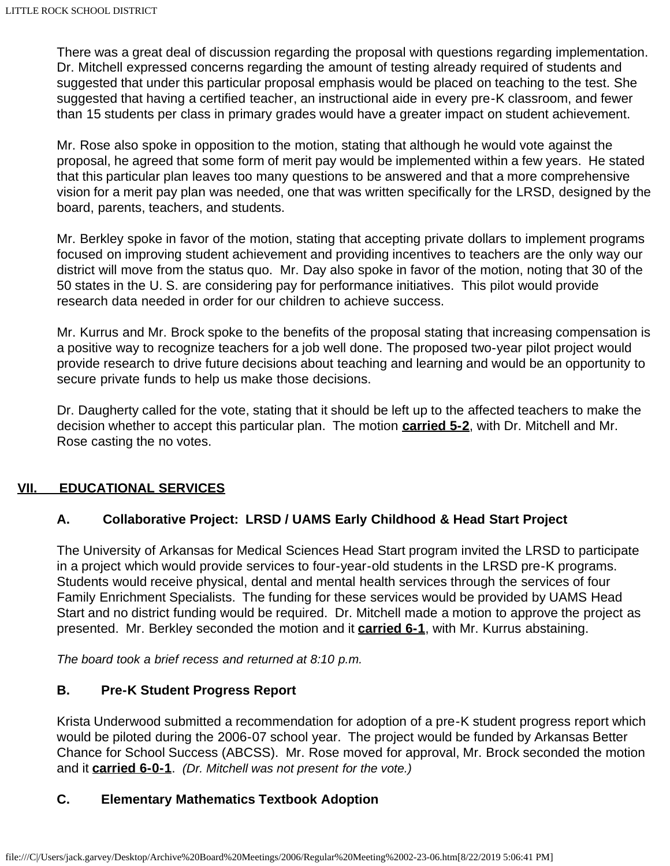There was a great deal of discussion regarding the proposal with questions regarding implementation. Dr. Mitchell expressed concerns regarding the amount of testing already required of students and suggested that under this particular proposal emphasis would be placed on teaching to the test. She suggested that having a certified teacher, an instructional aide in every pre-K classroom, and fewer than 15 students per class in primary grades would have a greater impact on student achievement.

Mr. Rose also spoke in opposition to the motion, stating that although he would vote against the proposal, he agreed that some form of merit pay would be implemented within a few years. He stated that this particular plan leaves too many questions to be answered and that a more comprehensive vision for a merit pay plan was needed, one that was written specifically for the LRSD, designed by the board, parents, teachers, and students.

Mr. Berkley spoke in favor of the motion, stating that accepting private dollars to implement programs focused on improving student achievement and providing incentives to teachers are the only way our district will move from the status quo. Mr. Day also spoke in favor of the motion, noting that 30 of the 50 states in the U. S. are considering pay for performance initiatives. This pilot would provide research data needed in order for our children to achieve success.

Mr. Kurrus and Mr. Brock spoke to the benefits of the proposal stating that increasing compensation is a positive way to recognize teachers for a job well done. The proposed two-year pilot project would provide research to drive future decisions about teaching and learning and would be an opportunity to secure private funds to help us make those decisions.

Dr. Daugherty called for the vote, stating that it should be left up to the affected teachers to make the decision whether to accept this particular plan. The motion **carried 5-2**, with Dr. Mitchell and Mr. Rose casting the no votes.

### **VII. EDUCATIONAL SERVICES**

### **A. Collaborative Project: LRSD / UAMS Early Childhood & Head Start Project**

The University of Arkansas for Medical Sciences Head Start program invited the LRSD to participate in a project which would provide services to four-year-old students in the LRSD pre-K programs. Students would receive physical, dental and mental health services through the services of four Family Enrichment Specialists. The funding for these services would be provided by UAMS Head Start and no district funding would be required. Dr. Mitchell made a motion to approve the project as presented. Mr. Berkley seconded the motion and it **carried 6-1**, with Mr. Kurrus abstaining.

*The board took a brief recess and returned at 8:10 p.m.*

#### **B. Pre-K Student Progress Report**

Krista Underwood submitted a recommendation for adoption of a pre-K student progress report which would be piloted during the 2006-07 school year. The project would be funded by Arkansas Better Chance for School Success (ABCSS). Mr. Rose moved for approval, Mr. Brock seconded the motion and it **carried 6-0-1**. *(Dr. Mitchell was not present for the vote.)*

### **C. Elementary Mathematics Textbook Adoption**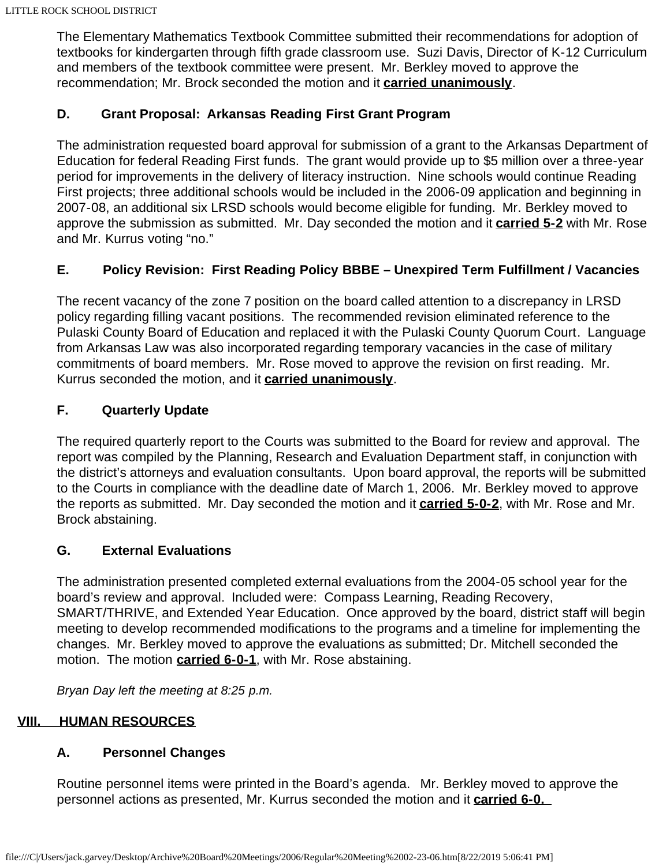The Elementary Mathematics Textbook Committee submitted their recommendations for adoption of textbooks for kindergarten through fifth grade classroom use. Suzi Davis, Director of K-12 Curriculum and members of the textbook committee were present. Mr. Berkley moved to approve the recommendation; Mr. Brock seconded the motion and it **carried unanimously**.

### **D. Grant Proposal: Arkansas Reading First Grant Program**

The administration requested board approval for submission of a grant to the Arkansas Department of Education for federal Reading First funds. The grant would provide up to \$5 million over a three-year period for improvements in the delivery of literacy instruction. Nine schools would continue Reading First projects; three additional schools would be included in the 2006-09 application and beginning in 2007-08, an additional six LRSD schools would become eligible for funding. Mr. Berkley moved to approve the submission as submitted. Mr. Day seconded the motion and it **carried 5-2** with Mr. Rose and Mr. Kurrus voting "no."

# **E. Policy Revision: First Reading Policy BBBE – Unexpired Term Fulfillment / Vacancies**

The recent vacancy of the zone 7 position on the board called attention to a discrepancy in LRSD policy regarding filling vacant positions. The recommended revision eliminated reference to the Pulaski County Board of Education and replaced it with the Pulaski County Quorum Court. Language from Arkansas Law was also incorporated regarding temporary vacancies in the case of military commitments of board members. Mr. Rose moved to approve the revision on first reading. Mr. Kurrus seconded the motion, and it **carried unanimously**.

### **F. Quarterly Update**

The required quarterly report to the Courts was submitted to the Board for review and approval. The report was compiled by the Planning, Research and Evaluation Department staff, in conjunction with the district's attorneys and evaluation consultants. Upon board approval, the reports will be submitted to the Courts in compliance with the deadline date of March 1, 2006. Mr. Berkley moved to approve the reports as submitted. Mr. Day seconded the motion and it **carried 5-0-2**, with Mr. Rose and Mr. Brock abstaining.

### **G. External Evaluations**

The administration presented completed external evaluations from the 2004-05 school year for the board's review and approval. Included were: Compass Learning, Reading Recovery, SMART/THRIVE, and Extended Year Education. Once approved by the board, district staff will begin meeting to develop recommended modifications to the programs and a timeline for implementing the changes. Mr. Berkley moved to approve the evaluations as submitted; Dr. Mitchell seconded the motion. The motion **carried 6-0-1**, with Mr. Rose abstaining.

*Bryan Day left the meeting at 8:25 p.m.*

# **VIII. HUMAN RESOURCES**

### **A. Personnel Changes**

Routine personnel items were printed in the Board's agenda. Mr. Berkley moved to approve the personnel actions as presented, Mr. Kurrus seconded the motion and it **carried 6-0.**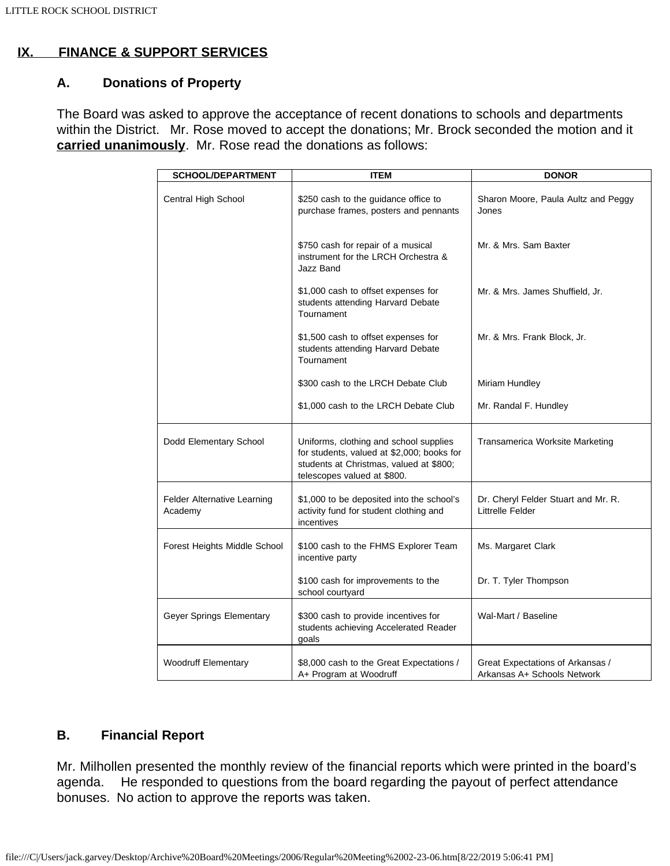# **IX. FINANCE & SUPPORT SERVICES**

# **A. Donations of Property**

The Board was asked to approve the acceptance of recent donations to schools and departments within the District. Mr. Rose moved to accept the donations; Mr. Brock seconded the motion and it **carried unanimously**. Mr. Rose read the donations as follows:

| <b>SCHOOL/DEPARTMENT</b>               | <b>ITEM</b>                                                                                                                                                    | <b>DONOR</b>                                                    |
|----------------------------------------|----------------------------------------------------------------------------------------------------------------------------------------------------------------|-----------------------------------------------------------------|
| Central High School                    | \$250 cash to the guidance office to<br>purchase frames, posters and pennants                                                                                  | Sharon Moore, Paula Aultz and Peggy<br>Jones                    |
|                                        | \$750 cash for repair of a musical<br>instrument for the LRCH Orchestra &<br>Jazz Band                                                                         | Mr. & Mrs. Sam Baxter                                           |
|                                        | \$1,000 cash to offset expenses for<br>students attending Harvard Debate<br>Tournament                                                                         | Mr. & Mrs. James Shuffield, Jr.                                 |
|                                        | \$1,500 cash to offset expenses for<br>students attending Harvard Debate<br>Tournament                                                                         | Mr. & Mrs. Frank Block, Jr.                                     |
|                                        | \$300 cash to the LRCH Debate Club                                                                                                                             | Miriam Hundley                                                  |
|                                        | \$1,000 cash to the LRCH Debate Club                                                                                                                           | Mr. Randal F. Hundley                                           |
| Dodd Elementary School                 | Uniforms, clothing and school supplies<br>for students, valued at \$2,000; books for<br>students at Christmas, valued at \$800;<br>telescopes valued at \$800. | Transamerica Worksite Marketing                                 |
| Felder Alternative Learning<br>Academy | \$1,000 to be deposited into the school's<br>activity fund for student clothing and<br>incentives                                                              | Dr. Cheryl Felder Stuart and Mr. R.<br>Littrelle Felder         |
| Forest Heights Middle School           | \$100 cash to the FHMS Explorer Team<br>incentive party                                                                                                        | Ms. Margaret Clark                                              |
|                                        | \$100 cash for improvements to the<br>school courtyard                                                                                                         | Dr. T. Tyler Thompson                                           |
| Geyer Springs Elementary               | \$300 cash to provide incentives for<br>students achieving Accelerated Reader<br>goals                                                                         | Wal-Mart / Baseline                                             |
| <b>Woodruff Elementary</b>             | \$8,000 cash to the Great Expectations /<br>A+ Program at Woodruff                                                                                             | Great Expectations of Arkansas /<br>Arkansas A+ Schools Network |

### **B. Financial Report**

Mr. Milhollen presented the monthly review of the financial reports which were printed in the board's agenda. He responded to questions from the board regarding the payout of perfect attendance bonuses. No action to approve the reports was taken.